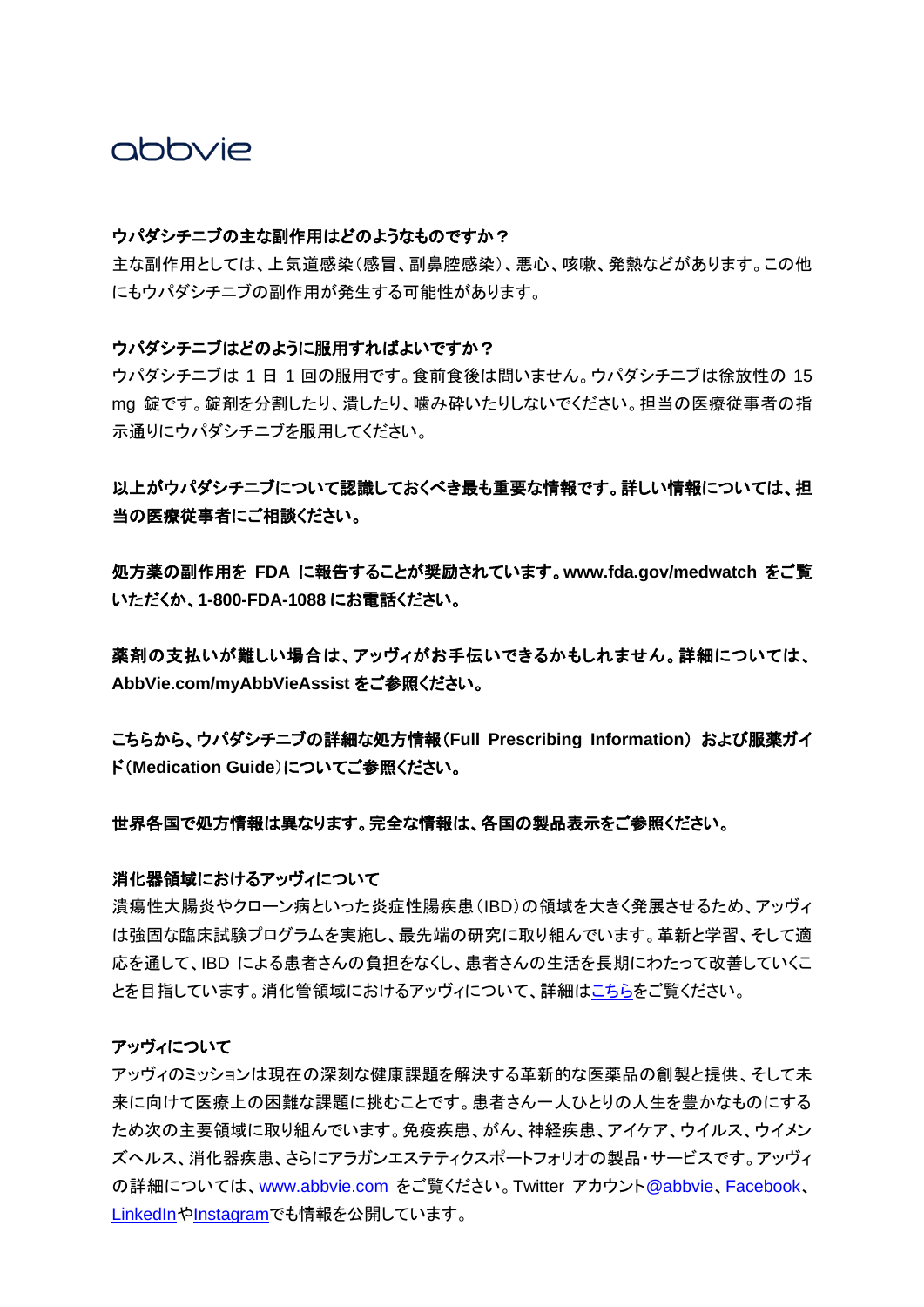### abbyje

#### ウパダシチニブの主な副作用はどのようなものですか?

主な副作用としては、上気道感染(感冒、副鼻腔感染)、悪心、咳嗽、発熱などがあります。この他 にもウパダシチニブの副作用が発生する可能性があります。

#### ウパダシチニブはどのように服用すればよいですか?

ウパダシチニブは 1 日 1 回の服用です。食前食後は問いません。ウパダシチニブは徐放性の 15 mg 錠です。錠剤を分割したり、潰したり、噛み砕いたりしないでください。担当の医療従事者の指 示通りにウパダシチニブを服用してください。

### 以上がウパダシチニブについて認識しておくべき最も重要な情報です。詳しい情報については、担 当の医療従事者にご相談ください。

処方薬の副作用を **FDA** に報告することが奨励されています。**[www.fda.gov/medwatch](https://c212.net/c/link/?t=0&l=en&o=3378993-1&h=1602115913&u=https%3A%2F%2Fc212.net%2Fc%2Flink%2F%3Ft%3D0%26l%3Den%26o%3D3379113-1%26h%3D2167140484%26u%3Dhttp%253A%252F%252Fwww.fda.gov%252Fmedwatch%26a%3Dwww.fda.gov%252Fmedwatch&a=www.fda.gov%2Fmedwatch)** をご覧 いただくか、**1-800-FDA-1088** にお電話ください。

薬剤の支払いが難しい場合は、アッヴィがお手伝いできるかもしれません。詳細については、 **[AbbVie.com/myAbbVieAssist](https://c212.net/c/link/?t=0&l=en&o=3378993-1&h=673078381&u=https%3A%2F%2Fc212.net%2Fc%2Flink%2F%3Ft%3D0%26l%3Den%26o%3D3379113-1%26h%3D2493781755%26u%3Dhttps%253A%252F%252Fwww.abbvie.com%252Fpatients%252Fpatient-assistance.html%253Futm_source%253DmyAbbVie-Assist-URL%26a%3DAbbVie.com%252FmyAbbVieAssist&a=AbbVie.com%2FmyAbbVieAssist)** をご参照ください。

こちらから、ウパダシチニブの詳細な処方情報(**[Full Prescribing Information](https://c212.net/c/link/?t=0&l=en&o=3378993-1&h=3235289481&u=https%3A%2F%2Fc212.net%2Fc%2Flink%2F%3Ft%3D0%26l%3Den%26o%3D3379113-1%26h%3D3518741770%26u%3Dhttps%253A%252F%252Fwww.rxabbvie.com%252Fpdf%252Frinvoq_pi.pdf%26a%3DFull%2BPrescribing%2BInformation%25C2%25A0&a=Full%2BPrescribing%2BInformation%C2%A0)**) および服薬ガイ ド(**[Medication Guide](https://c212.net/c/link/?t=0&l=en&o=3378993-1&h=3702647328&u=https%3A%2F%2Fc212.net%2Fc%2Flink%2F%3Ft%3D0%26l%3Den%26o%3D3379113-1%26h%3D3470873498%26u%3Dhttps%253A%252F%252Fwww.rxabbvie.com%252Fpdf%252Frinvoq_medguide.pdf%26a%3DMedication%2BGuide&a=Medication%2BGuide)**)についてご参照ください。

#### 世界各国で処方情報は異なります。完全な情報は、各国の製品表示をご参照ください。

#### 消化器領域におけるアッヴィについて

潰瘍性大腸炎やクローン病といった炎症性腸疾患(IBD)の領域を大きく発展させるため、アッヴィ は強固な臨床試験プログラムを実施し、最先端の研究に取り組んでいます。革新と学習、そして適 応を通して、IBD による患者さんの負担をなくし、患者さんの生活を長期にわたって改善していくこ とを目指しています。消化管領域におけるアッヴィについて、詳細[はこちらを](https://www.abbvie.com/our-science/therapeutic-focus-areas/immunology/immunology-focus-areas/gastroenterology.html.)ご覧ください。

#### アッヴィについて

アッヴィのミッションは現在の深刻な健康課題を解決する革新的な医薬品の創製と提供、そして未 来に向けて医療上の困難な課題に挑むことです。患者さん一人ひとりの人生を豊かなものにする ため次の主要領域に取り組んでいます。免疫疾患、がん、神経疾患、アイケア、ウイルス、ウイメン ズヘルス、消化器疾患、さらにアラガンエステティクスポートフォリオの製品・サービスです。アッヴィ の詳細については、[www.abbvie.com](https://www.abbvie.com/) をご覧ください。Twitter アカウント[@abbvie](https://twitter.com/abbvie)、[Facebook](https://www.facebook.com/AbbVieGlobal)、 [LinkedIn](https://www.linkedin.com/company/abbvie)や[Instagram](https://www.instagram.com/abbvie/)でも情報を公開しています。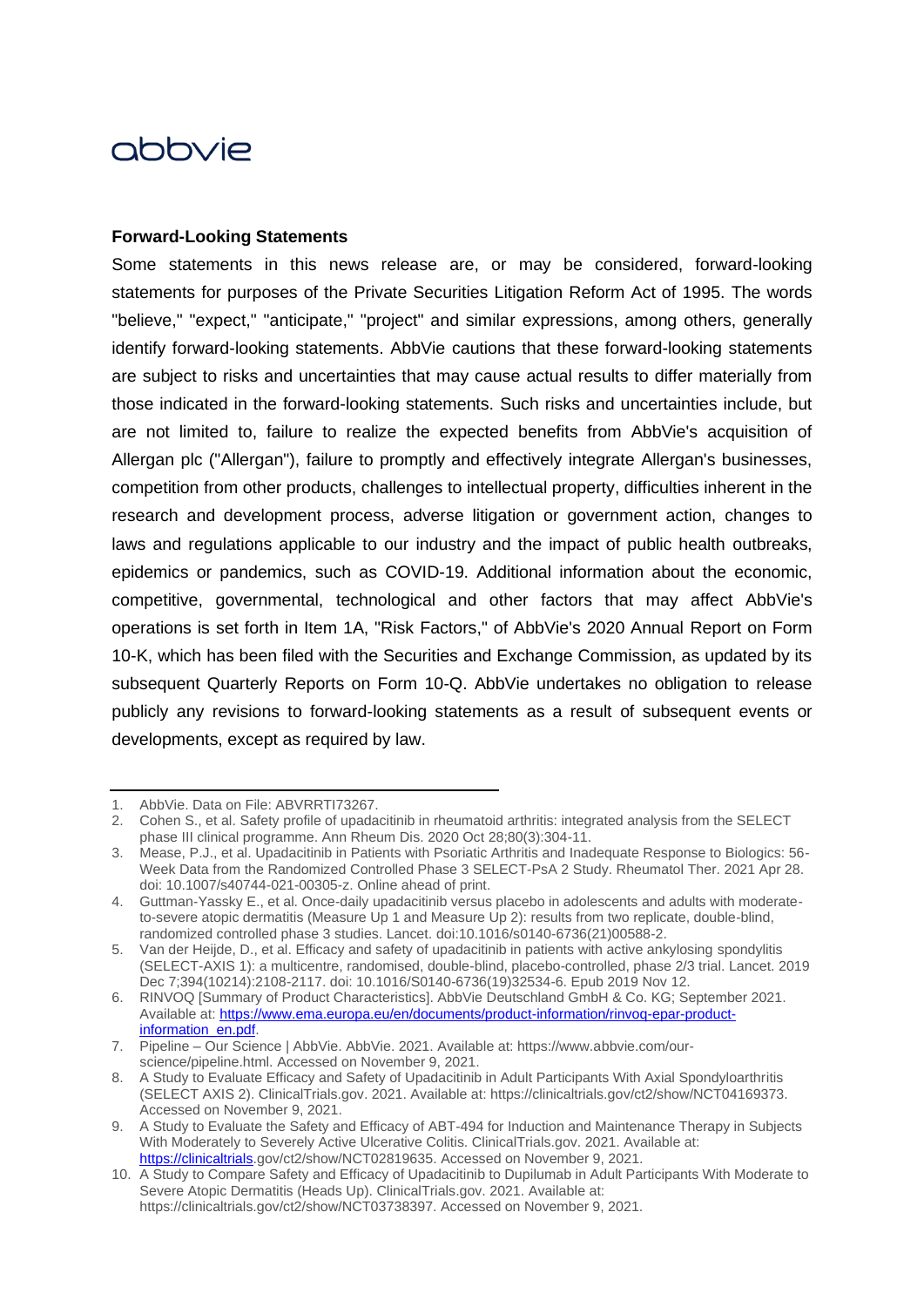# abbyje

#### **Forward-Looking Statements**

Some statements in this news release are, or may be considered, forward-looking statements for purposes of the Private Securities Litigation Reform Act of 1995. The words "believe," "expect," "anticipate," "project" and similar expressions, among others, generally identify forward-looking statements. AbbVie cautions that these forward-looking statements are subject to risks and uncertainties that may cause actual results to differ materially from those indicated in the forward-looking statements. Such risks and uncertainties include, but are not limited to, failure to realize the expected benefits from AbbVie's acquisition of Allergan plc ("Allergan"), failure to promptly and effectively integrate Allergan's businesses, competition from other products, challenges to intellectual property, difficulties inherent in the research and development process, adverse litigation or government action, changes to laws and regulations applicable to our industry and the impact of public health outbreaks, epidemics or pandemics, such as COVID-19. Additional information about the economic, competitive, governmental, technological and other factors that may affect AbbVie's operations is set forth in Item 1A, "Risk Factors," of AbbVie's 2020 Annual Report on Form 10-K, which has been filed with the Securities and Exchange Commission, as updated by its subsequent Quarterly Reports on Form 10-Q. AbbVie undertakes no obligation to release publicly any revisions to forward-looking statements as a result of subsequent events or developments, except as required by law.

<sup>1.</sup> AbbVie. Data on File: ABVRRTI73267.

<sup>2.</sup> Cohen S., et al. Safety profile of upadacitinib in rheumatoid arthritis: integrated analysis from the SELECT phase III clinical programme. Ann Rheum Dis. 2020 Oct 28;80(3):304-11.

<sup>3.</sup> Mease, P.J., et al. Upadacitinib in Patients with Psoriatic Arthritis and Inadequate Response to Biologics: 56- Week Data from the Randomized Controlled Phase 3 SELECT-PsA 2 Study. Rheumatol Ther. 2021 Apr 28. doi: 10.1007/s40744-021-00305-z. Online ahead of print.

<sup>4.</sup> Guttman-Yassky E., et al. Once-daily upadacitinib versus placebo in adolescents and adults with moderateto-severe atopic dermatitis (Measure Up 1 and Measure Up 2): results from two replicate, double-blind, randomized controlled phase 3 studies. Lancet. doi:10.1016/s0140-6736(21)00588-2.

<sup>5.</sup> Van der Heijde, D., et al. Efficacy and safety of upadacitinib in patients with active ankylosing spondylitis (SELECT-AXIS 1): a multicentre, randomised, double-blind, placebo-controlled, phase 2/3 trial. Lancet. 2019 Dec 7;394(10214):2108-2117. doi: 10.1016/S0140-6736(19)32534-6. Epub 2019 Nov 12.

<sup>6.</sup> RINVOQ [Summary of Product Characteristics]. AbbVie Deutschland GmbH & Co. KG; September 2021. Available at[: https://www.ema.europa.eu/en/documents/product-information/rinvoq-epar-product](https://www.ema.europa.eu/en/documents/product-information/rinvoq-epar-product-information_en.pdf)[information\\_en.pdf.](https://www.ema.europa.eu/en/documents/product-information/rinvoq-epar-product-information_en.pdf)

<sup>7.</sup> Pipeline – Our Science | AbbVie. AbbVie. 2021. Available at: https://www.abbvie.com/ourscience/pipeline.html. Accessed on November 9, 2021.

<sup>8.</sup> A Study to Evaluate Efficacy and Safety of Upadacitinib in Adult Participants With Axial Spondyloarthritis (SELECT AXIS 2). ClinicalTrials.gov. 2021. Available at: https://clinicaltrials.gov/ct2/show/NCT04169373. Accessed on November 9, 2021.

<sup>9.</sup> A Study to Evaluate the Safety and Efficacy of ABT-494 for Induction and Maintenance Therapy in Subjects With Moderately to Severely Active Ulcerative Colitis. ClinicalTrials.gov. 2021. Available at: [https://clinicaltrials.](https://clinicaltrials/)gov/ct2/show/NCT02819635. Accessed on November 9, 2021.

<sup>10.</sup> A Study to Compare Safety and Efficacy of Upadacitinib to Dupilumab in Adult Participants With Moderate to Severe Atopic Dermatitis (Heads Up). ClinicalTrials.gov. 2021. Available at: https://clinicaltrials.gov/ct2/show/NCT03738397. Accessed on November 9, 2021.